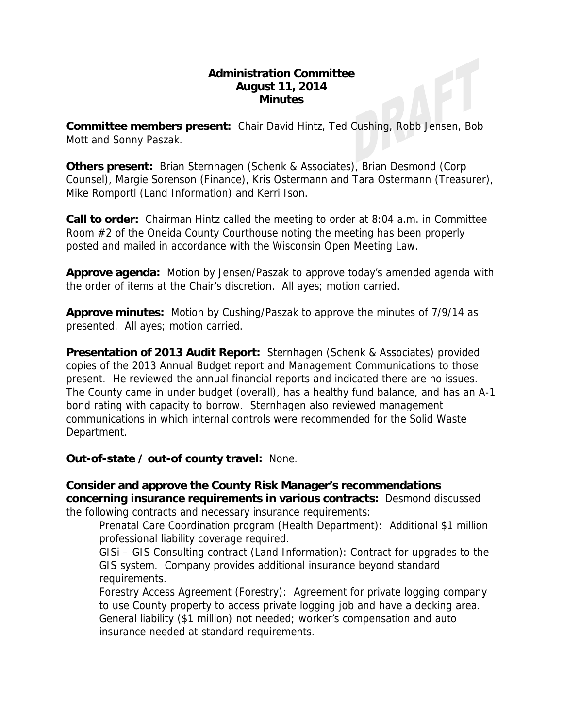#### **Administration Committee August 11, 2014 Minutes**

**Committee members present:** Chair David Hintz, Ted Cushing, Robb Jensen, Bob Mott and Sonny Paszak.

**Others present:** Brian Sternhagen (Schenk & Associates), Brian Desmond (Corp Counsel), Margie Sorenson (Finance), Kris Ostermann and Tara Ostermann (Treasurer), Mike Romportl (Land Information) and Kerri Ison.

**Call to order:** Chairman Hintz called the meeting to order at 8:04 a.m. in Committee Room #2 of the Oneida County Courthouse noting the meeting has been properly posted and mailed in accordance with the Wisconsin Open Meeting Law.

**Approve agenda:** Motion by Jensen/Paszak to approve today's amended agenda with the order of items at the Chair's discretion. All ayes; motion carried.

**Approve minutes:** Motion by Cushing/Paszak to approve the minutes of 7/9/14 as presented. All ayes; motion carried.

**Presentation of 2013 Audit Report:** Sternhagen (Schenk & Associates) provided copies of the 2013 Annual Budget report and Management Communications to those present. He reviewed the annual financial reports and indicated there are no issues. The County came in under budget (overall), has a healthy fund balance, and has an A-1 bond rating with capacity to borrow. Sternhagen also reviewed management communications in which internal controls were recommended for the Solid Waste Department.

**Out-of-state / out-of county travel:** None.

**Consider and approve the County Risk Manager's recommendations concerning insurance requirements in various contracts:** Desmond discussed the following contracts and necessary insurance requirements:

Prenatal Care Coordination program (Health Department): Additional \$1 million professional liability coverage required.

GISi – GIS Consulting contract (Land Information): Contract for upgrades to the GIS system. Company provides additional insurance beyond standard requirements.

Forestry Access Agreement (Forestry): Agreement for private logging company to use County property to access private logging job and have a decking area. General liability (\$1 million) not needed; worker's compensation and auto insurance needed at standard requirements.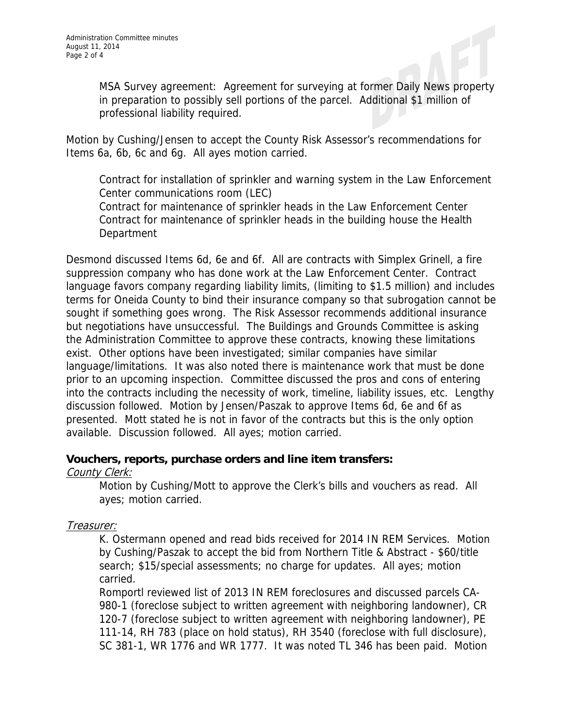MSA Survey agreement: Agreement for surveying at former Daily News property in preparation to possibly sell portions of the parcel. Additional \$1 million of professional liability required.

Motion by Cushing/Jensen to accept the County Risk Assessor's recommendations for Items 6a, 6b, 6c and 6g. All ayes motion carried.

Contract for installation of sprinkler and warning system in the Law Enforcement Center communications room (LEC)

Contract for maintenance of sprinkler heads in the Law Enforcement Center Contract for maintenance of sprinkler heads in the building house the Health **Department** 

Desmond discussed Items 6d, 6e and 6f. All are contracts with Simplex Grinell, a fire suppression company who has done work at the Law Enforcement Center. Contract language favors company regarding liability limits, (limiting to \$1.5 million) and includes terms for Oneida County to bind their insurance company so that subrogation cannot be sought if something goes wrong. The Risk Assessor recommends additional insurance but negotiations have unsuccessful. The Buildings and Grounds Committee is asking the Administration Committee to approve these contracts, knowing these limitations exist. Other options have been investigated; similar companies have similar language/limitations. It was also noted there is maintenance work that must be done prior to an upcoming inspection. Committee discussed the pros and cons of entering into the contracts including the necessity of work, timeline, liability issues, etc. Lengthy discussion followed. Motion by Jensen/Paszak to approve Items 6d, 6e and 6f as presented. Mott stated he is not in favor of the contracts but this is the only option available. Discussion followed. All ayes; motion carried.

# **Vouchers, reports, purchase orders and line item transfers:**

#### County Clerk:

Motion by Cushing/Mott to approve the Clerk's bills and vouchers as read. All ayes; motion carried.

# Treasurer:

K. Ostermann opened and read bids received for 2014 IN REM Services. Motion by Cushing/Paszak to accept the bid from Northern Title & Abstract - \$60/title search; \$15/special assessments; no charge for updates. All ayes; motion carried.

Romportl reviewed list of 2013 IN REM foreclosures and discussed parcels CA-980-1 (foreclose subject to written agreement with neighboring landowner), CR 120-7 (foreclose subject to written agreement with neighboring landowner), PE 111-14, RH 783 (place on hold status), RH 3540 (foreclose with full disclosure), SC 381-1, WR 1776 and WR 1777. It was noted TL 346 has been paid. Motion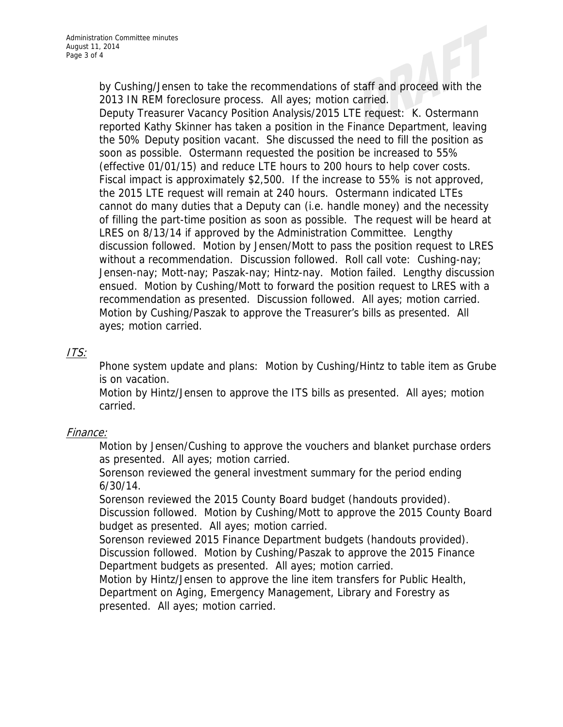by Cushing/Jensen to take the recommendations of staff and proceed with the 2013 IN REM foreclosure process. All ayes; motion carried.

Deputy Treasurer Vacancy Position Analysis/2015 LTE request: K. Ostermann reported Kathy Skinner has taken a position in the Finance Department, leaving the 50% Deputy position vacant. She discussed the need to fill the position as soon as possible. Ostermann requested the position be increased to 55% (effective 01/01/15) and reduce LTE hours to 200 hours to help cover costs. Fiscal impact is approximately \$2,500. If the increase to 55% is not approved, the 2015 LTE request will remain at 240 hours. Ostermann indicated LTEs cannot do many duties that a Deputy can (i.e. handle money) and the necessity of filling the part-time position as soon as possible. The request will be heard at LRES on 8/13/14 if approved by the Administration Committee. Lengthy discussion followed. Motion by Jensen/Mott to pass the position request to LRES without a recommendation. Discussion followed. Roll call vote: Cushing-nay; Jensen-nay; Mott-nay; Paszak-nay; Hintz-nay. Motion failed. Lengthy discussion ensued. Motion by Cushing/Mott to forward the position request to LRES with a recommendation as presented. Discussion followed. All ayes; motion carried. Motion by Cushing/Paszak to approve the Treasurer's bills as presented. All ayes; motion carried.

# ITS:

Phone system update and plans: Motion by Cushing/Hintz to table item as Grube is on vacation.

Motion by Hintz/Jensen to approve the ITS bills as presented. All ayes; motion carried.

# Finance:

Motion by Jensen/Cushing to approve the vouchers and blanket purchase orders as presented. All ayes; motion carried.

Sorenson reviewed the general investment summary for the period ending 6/30/14.

Sorenson reviewed the 2015 County Board budget (handouts provided). Discussion followed. Motion by Cushing/Mott to approve the 2015 County Board budget as presented. All ayes; motion carried.

Sorenson reviewed 2015 Finance Department budgets (handouts provided). Discussion followed. Motion by Cushing/Paszak to approve the 2015 Finance Department budgets as presented. All ayes; motion carried.

Motion by Hintz/Jensen to approve the line item transfers for Public Health, Department on Aging, Emergency Management, Library and Forestry as presented. All ayes; motion carried.